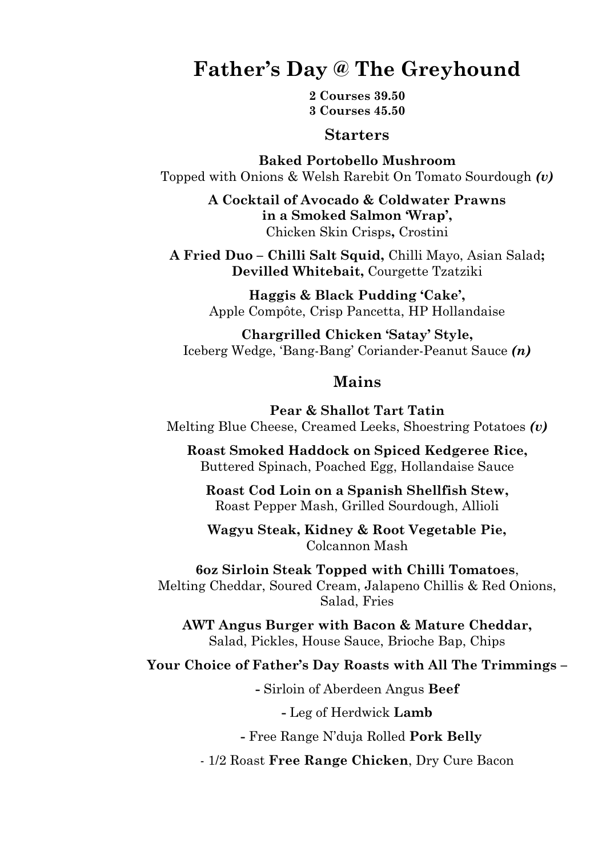## **Father's Day @ The Greyhound**

**2 Courses 39.50 3 Courses 45.50**

#### **Starters**

**Baked Portobello Mushroom**  Topped with Onions & Welsh Rarebit On Tomato Sourdough *(v)*

> **A Cocktail of Avocado & Coldwater Prawns in a Smoked Salmon 'Wrap',**  Chicken Skin Crisps**,** Crostini

**A Fried Duo – Chilli Salt Squid,** Chilli Mayo, Asian Salad**; Devilled Whitebait,** Courgette Tzatziki

> **Haggis & Black Pudding 'Cake',** Apple Compôte, Crisp Pancetta, HP Hollandaise

**Chargrilled Chicken 'Satay' Style,**  Iceberg Wedge, 'Bang-Bang' Coriander-Peanut Sauce *(n)*

#### **Mains**

**Pear & Shallot Tart Tatin** Melting Blue Cheese, Creamed Leeks, Shoestring Potatoes *(v)*

**Roast Smoked Haddock on Spiced Kedgeree Rice,** Buttered Spinach, Poached Egg, Hollandaise Sauce

**Roast Cod Loin on a Spanish Shellfish Stew,**  Roast Pepper Mash, Grilled Sourdough, Allioli

**Wagyu Steak, Kidney & Root Vegetable Pie,** Colcannon Mash

**6oz Sirloin Steak Topped with Chilli Tomatoes**, Melting Cheddar, Soured Cream, Jalapeno Chillis & Red Onions, Salad, Fries

**AWT Angus Burger with Bacon & Mature Cheddar,**  Salad, Pickles, House Sauce, Brioche Bap, Chips

#### **Your Choice of Father's Day Roasts with All The Trimmings –**

**-** Sirloin of Aberdeen Angus **Beef**

**-** Leg of Herdwick **Lamb** 

**-** Free Range N'duja Rolled **Pork Belly** 

- 1/2 Roast **Free Range Chicken**, Dry Cure Bacon